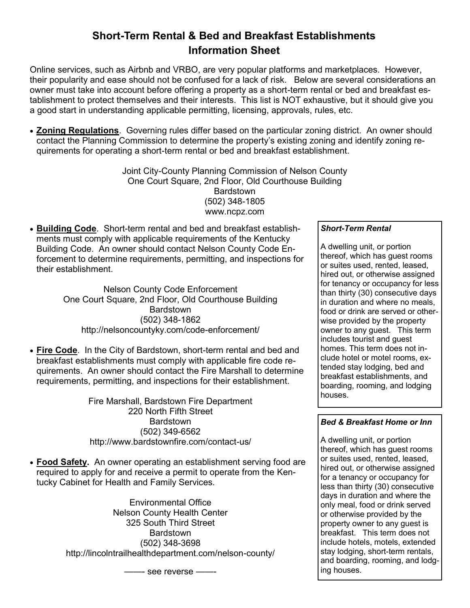## **Short-Term Rental & Bed and Breakfast Establishments Information Sheet**

Online services, such as Airbnb and VRBO, are very popular platforms and marketplaces. However, their popularity and ease should not be confused for a lack of risk. Below are several considerations an owner must take into account before offering a property as a short-term rental or bed and breakfast establishment to protect themselves and their interests. This list is NOT exhaustive, but it should give you a good start in understanding applicable permitting, licensing, approvals, rules, etc.

 **Zoning Regulations**. Governing rules differ based on the particular zoning district. An owner should contact the Planning Commission to determine the property's existing zoning and identify zoning requirements for operating a short-term rental or bed and breakfast establishment.

> Joint City-County Planning Commission of Nelson County One Court Square, 2nd Floor, Old Courthouse Building Bardstown (502) 348-1805 www.ncpz.com

 **Building Code**. Short-term rental and bed and breakfast establishments must comply with applicable requirements of the Kentucky Building Code. An owner should contact Nelson County Code Enforcement to determine requirements, permitting, and inspections for their establishment.

> Nelson County Code Enforcement One Court Square, 2nd Floor, Old Courthouse Building **Bardstown** (502) 348-1862 http://nelsoncountyky.com/code-enforcement/

 **Fire Code**. In the City of Bardstown, short-term rental and bed and breakfast establishments must comply with applicable fire code requirements. An owner should contact the Fire Marshall to determine requirements, permitting, and inspections for their establishment.

> Fire Marshall, Bardstown Fire Department 220 North Fifth Street Bardstown (502) 349-6562 http://www.bardstownfire.com/contact-us/

 **Food Safety.** An owner operating an establishment serving food are required to apply for and receive a permit to operate from the Kentucky Cabinet for Health and Family Services.

> Environmental Office Nelson County Health Center 325 South Third Street **Bardstown** (502) 348-3698 http://lincolntrailhealthdepartment.com/nelson-county/

> > ——- see reverse ——-

## *Short-Term Rental*

A dwelling unit, or portion thereof, which has guest rooms or suites used, rented, leased, hired out, or otherwise assigned for tenancy or occupancy for less than thirty (30) consecutive days in duration and where no meals, food or drink are served or otherwise provided by the property owner to any guest. This term includes tourist and guest homes. This term does not include hotel or motel rooms, extended stay lodging, bed and breakfast establishments, and boarding, rooming, and lodging houses.

## *Bed & Breakfast Home or Inn*

A dwelling unit, or portion thereof, which has guest rooms or suites used, rented, leased, hired out, or otherwise assigned for a tenancy or occupancy for less than thirty (30) consecutive days in duration and where the only meal, food or drink served or otherwise provided by the property owner to any guest is breakfast. This term does not include hotels, motels, extended stay lodging, short-term rentals, and boarding, rooming, and lodging houses.